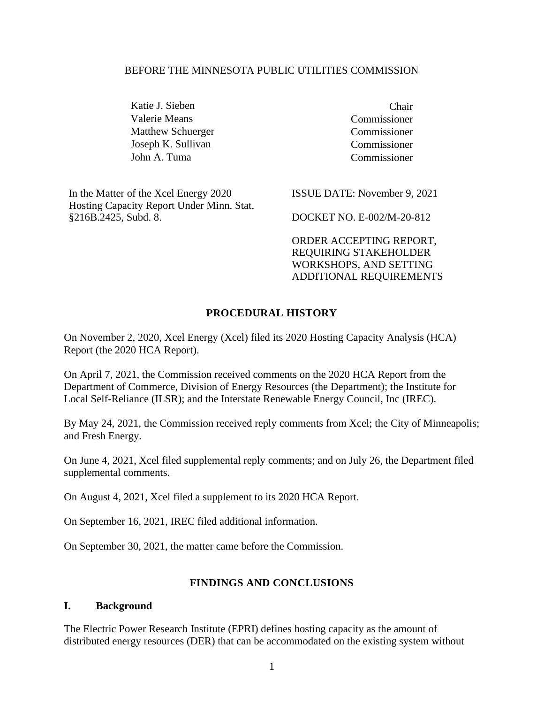#### BEFORE THE MINNESOTA PUBLIC UTILITIES COMMISSION

Katie J. Sieben Chair Valerie Means Commissioner Matthew Schuerger Commissioner Joseph K. Sullivan Commissioner John A. Tuma Commissioner

In the Matter of the Xcel Energy 2020 Hosting Capacity Report Under Minn. Stat. §216B.2425, Subd. 8.

ISSUE DATE: November 9, 2021

DOCKET NO. E-002/M-20-812

ORDER ACCEPTING REPORT, REQUIRING STAKEHOLDER WORKSHOPS, AND SETTING ADDITIONAL REQUIREMENTS

#### **PROCEDURAL HISTORY**

On November 2, 2020, Xcel Energy (Xcel) filed its 2020 Hosting Capacity Analysis (HCA) Report (the 2020 HCA Report).

On April 7, 2021, the Commission received comments on the 2020 HCA Report from the Department of Commerce, Division of Energy Resources (the Department); the Institute for Local Self-Reliance (ILSR); and the Interstate Renewable Energy Council, Inc (IREC).

By May 24, 2021, the Commission received reply comments from Xcel; the City of Minneapolis; and Fresh Energy.

On June 4, 2021, Xcel filed supplemental reply comments; and on July 26, the Department filed supplemental comments.

On August 4, 2021, Xcel filed a supplement to its 2020 HCA Report.

On September 16, 2021, IREC filed additional information.

On September 30, 2021, the matter came before the Commission.

#### **FINDINGS AND CONCLUSIONS**

#### **I. Background**

The Electric Power Research Institute (EPRI) defines hosting capacity as the amount of distributed energy resources (DER) that can be accommodated on the existing system without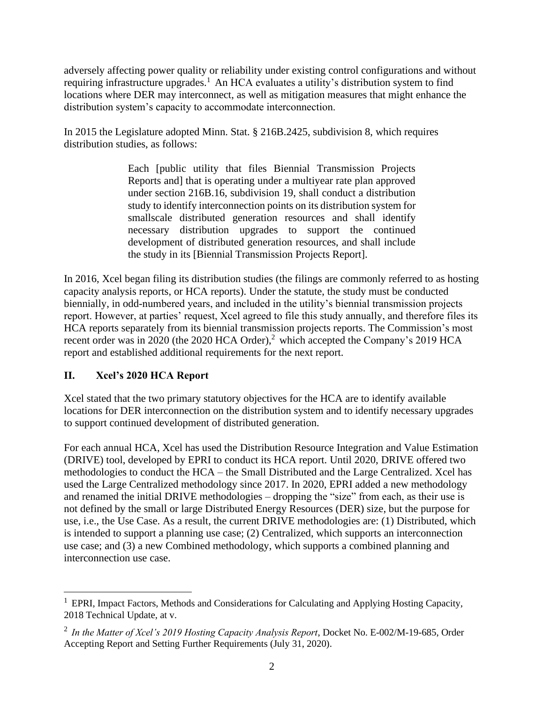adversely affecting power quality or reliability under existing control configurations and without requiring infrastructure upgrades.<sup>1</sup> An HCA evaluates a utility's distribution system to find locations where DER may interconnect, as well as mitigation measures that might enhance the distribution system's capacity to accommodate interconnection.

In 2015 the Legislature adopted Minn. Stat. § 216B.2425, subdivision 8, which requires distribution studies, as follows:

> Each [public utility that files Biennial Transmission Projects Reports and] that is operating under a multiyear rate plan approved under section 216B.16, subdivision 19, shall conduct a distribution study to identify interconnection points on its distribution system for smallscale distributed generation resources and shall identify necessary distribution upgrades to support the continued development of distributed generation resources, and shall include the study in its [Biennial Transmission Projects Report].

In 2016, Xcel began filing its distribution studies (the filings are commonly referred to as hosting capacity analysis reports, or HCA reports). Under the statute, the study must be conducted biennially, in odd-numbered years, and included in the utility's biennial transmission projects report. However, at parties' request, Xcel agreed to file this study annually, and therefore files its HCA reports separately from its biennial transmission projects reports. The Commission's most recent order was in 2020 (the 2020 HCA Order),<sup>2</sup> which accepted the Company's 2019 HCA report and established additional requirements for the next report.

# **II. Xcel's 2020 HCA Report**

Xcel stated that the two primary statutory objectives for the HCA are to identify available locations for DER interconnection on the distribution system and to identify necessary upgrades to support continued development of distributed generation.

For each annual HCA, Xcel has used the Distribution Resource Integration and Value Estimation (DRIVE) tool, developed by EPRI to conduct its HCA report. Until 2020, DRIVE offered two methodologies to conduct the HCA – the Small Distributed and the Large Centralized. Xcel has used the Large Centralized methodology since 2017. In 2020, EPRI added a new methodology and renamed the initial DRIVE methodologies – dropping the "size" from each, as their use is not defined by the small or large Distributed Energy Resources (DER) size, but the purpose for use, i.e., the Use Case. As a result, the current DRIVE methodologies are: (1) Distributed, which is intended to support a planning use case; (2) Centralized, which supports an interconnection use case; and (3) a new Combined methodology, which supports a combined planning and interconnection use case.

 $1$  EPRI, Impact Factors, Methods and Considerations for Calculating and Applying Hosting Capacity, 2018 Technical Update, at v.

<sup>2</sup> *In the Matter of Xcel's 2019 Hosting Capacity Analysis Report*, Docket No. E-002/M-19-685, Order Accepting Report and Setting Further Requirements (July 31, 2020).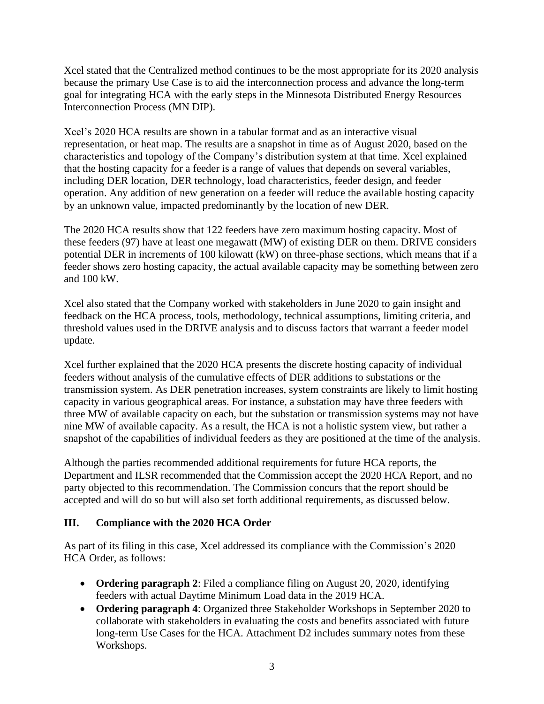Xcel stated that the Centralized method continues to be the most appropriate for its 2020 analysis because the primary Use Case is to aid the interconnection process and advance the long-term goal for integrating HCA with the early steps in the Minnesota Distributed Energy Resources Interconnection Process (MN DIP).

Xcel's 2020 HCA results are shown in a tabular format and as an interactive visual representation, or heat map. The results are a snapshot in time as of August 2020, based on the characteristics and topology of the Company's distribution system at that time. Xcel explained that the hosting capacity for a feeder is a range of values that depends on several variables, including DER location, DER technology, load characteristics, feeder design, and feeder operation. Any addition of new generation on a feeder will reduce the available hosting capacity by an unknown value, impacted predominantly by the location of new DER.

The 2020 HCA results show that 122 feeders have zero maximum hosting capacity. Most of these feeders (97) have at least one megawatt (MW) of existing DER on them. DRIVE considers potential DER in increments of 100 kilowatt (kW) on three-phase sections, which means that if a feeder shows zero hosting capacity, the actual available capacity may be something between zero and 100 kW.

Xcel also stated that the Company worked with stakeholders in June 2020 to gain insight and feedback on the HCA process, tools, methodology, technical assumptions, limiting criteria, and threshold values used in the DRIVE analysis and to discuss factors that warrant a feeder model update.

Xcel further explained that the 2020 HCA presents the discrete hosting capacity of individual feeders without analysis of the cumulative effects of DER additions to substations or the transmission system. As DER penetration increases, system constraints are likely to limit hosting capacity in various geographical areas. For instance, a substation may have three feeders with three MW of available capacity on each, but the substation or transmission systems may not have nine MW of available capacity. As a result, the HCA is not a holistic system view, but rather a snapshot of the capabilities of individual feeders as they are positioned at the time of the analysis.

Although the parties recommended additional requirements for future HCA reports, the Department and ILSR recommended that the Commission accept the 2020 HCA Report, and no party objected to this recommendation. The Commission concurs that the report should be accepted and will do so but will also set forth additional requirements, as discussed below.

# **III. Compliance with the 2020 HCA Order**

As part of its filing in this case, Xcel addressed its compliance with the Commission's 2020 HCA Order, as follows:

- **Ordering paragraph 2**: Filed a compliance filing on August 20, 2020, identifying feeders with actual Daytime Minimum Load data in the 2019 HCA.
- **Ordering paragraph 4**: Organized three Stakeholder Workshops in September 2020 to collaborate with stakeholders in evaluating the costs and benefits associated with future long-term Use Cases for the HCA. Attachment D2 includes summary notes from these Workshops.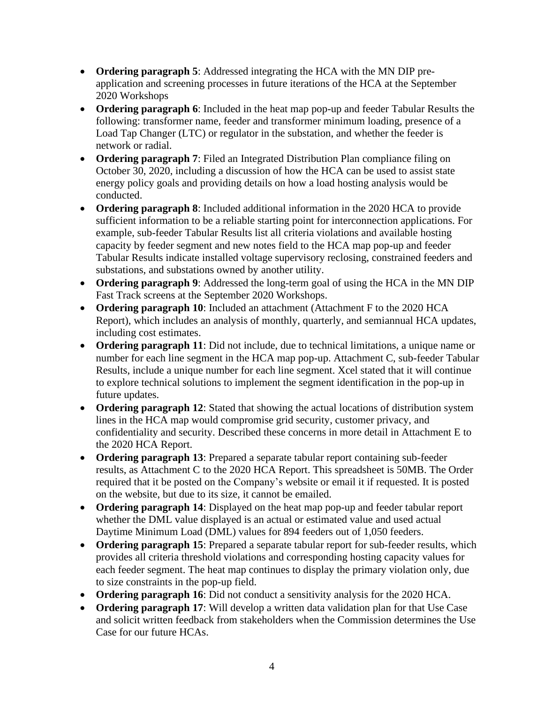- **Ordering paragraph 5**: Addressed integrating the HCA with the MN DIP preapplication and screening processes in future iterations of the HCA at the September 2020 Workshops
- **Ordering paragraph 6**: Included in the heat map pop-up and feeder Tabular Results the following: transformer name, feeder and transformer minimum loading, presence of a Load Tap Changer (LTC) or regulator in the substation, and whether the feeder is network or radial.
- **Ordering paragraph 7**: Filed an Integrated Distribution Plan compliance filing on October 30, 2020, including a discussion of how the HCA can be used to assist state energy policy goals and providing details on how a load hosting analysis would be conducted.
- **Ordering paragraph 8**: Included additional information in the 2020 HCA to provide sufficient information to be a reliable starting point for interconnection applications. For example, sub-feeder Tabular Results list all criteria violations and available hosting capacity by feeder segment and new notes field to the HCA map pop-up and feeder Tabular Results indicate installed voltage supervisory reclosing, constrained feeders and substations, and substations owned by another utility.
- **Ordering paragraph 9**: Addressed the long-term goal of using the HCA in the MN DIP Fast Track screens at the September 2020 Workshops.
- **Ordering paragraph 10**: Included an attachment (Attachment F to the 2020 HCA Report), which includes an analysis of monthly, quarterly, and semiannual HCA updates, including cost estimates.
- **Ordering paragraph 11**: Did not include, due to technical limitations, a unique name or number for each line segment in the HCA map pop-up. Attachment C, sub-feeder Tabular Results, include a unique number for each line segment. Xcel stated that it will continue to explore technical solutions to implement the segment identification in the pop-up in future updates.
- **Ordering paragraph 12**: Stated that showing the actual locations of distribution system lines in the HCA map would compromise grid security, customer privacy, and confidentiality and security. Described these concerns in more detail in Attachment E to the 2020 HCA Report.
- **Ordering paragraph 13**: Prepared a separate tabular report containing sub-feeder results, as Attachment C to the 2020 HCA Report. This spreadsheet is 50MB. The Order required that it be posted on the Company's website or email it if requested. It is posted on the website, but due to its size, it cannot be emailed.
- **Ordering paragraph 14**: Displayed on the heat map pop-up and feeder tabular report whether the DML value displayed is an actual or estimated value and used actual Daytime Minimum Load (DML) values for 894 feeders out of 1,050 feeders.
- **Ordering paragraph 15**: Prepared a separate tabular report for sub-feeder results, which provides all criteria threshold violations and corresponding hosting capacity values for each feeder segment. The heat map continues to display the primary violation only, due to size constraints in the pop-up field.
- **Ordering paragraph 16**: Did not conduct a sensitivity analysis for the 2020 HCA.
- **Ordering paragraph 17**: Will develop a written data validation plan for that Use Case and solicit written feedback from stakeholders when the Commission determines the Use Case for our future HCAs.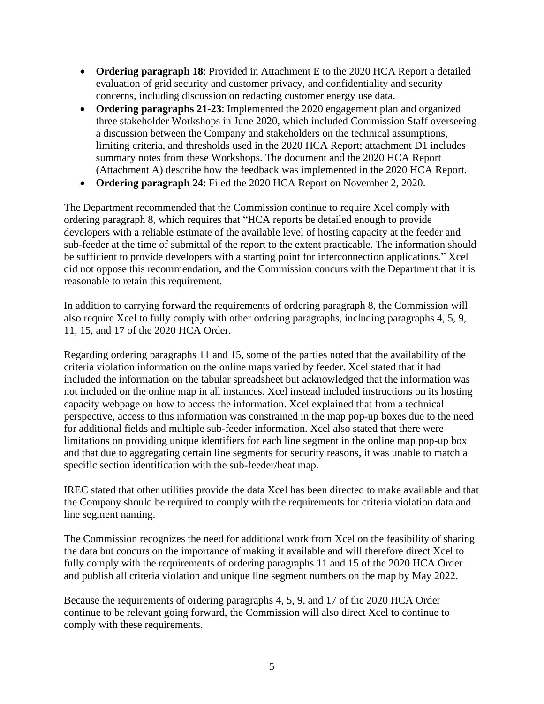- **Ordering paragraph 18**: Provided in Attachment E to the 2020 HCA Report a detailed evaluation of grid security and customer privacy, and confidentiality and security concerns, including discussion on redacting customer energy use data.
- **Ordering paragraphs 21-23**: Implemented the 2020 engagement plan and organized three stakeholder Workshops in June 2020, which included Commission Staff overseeing a discussion between the Company and stakeholders on the technical assumptions, limiting criteria, and thresholds used in the 2020 HCA Report; attachment D1 includes summary notes from these Workshops. The document and the 2020 HCA Report (Attachment A) describe how the feedback was implemented in the 2020 HCA Report.
- **Ordering paragraph 24**: Filed the 2020 HCA Report on November 2, 2020.

The Department recommended that the Commission continue to require Xcel comply with ordering paragraph 8, which requires that "HCA reports be detailed enough to provide developers with a reliable estimate of the available level of hosting capacity at the feeder and sub-feeder at the time of submittal of the report to the extent practicable. The information should be sufficient to provide developers with a starting point for interconnection applications." Xcel did not oppose this recommendation, and the Commission concurs with the Department that it is reasonable to retain this requirement.

In addition to carrying forward the requirements of ordering paragraph 8, the Commission will also require Xcel to fully comply with other ordering paragraphs, including paragraphs 4, 5, 9, 11, 15, and 17 of the 2020 HCA Order.

Regarding ordering paragraphs 11 and 15, some of the parties noted that the availability of the criteria violation information on the online maps varied by feeder. Xcel stated that it had included the information on the tabular spreadsheet but acknowledged that the information was not included on the online map in all instances. Xcel instead included instructions on its hosting capacity webpage on how to access the information. Xcel explained that from a technical perspective, access to this information was constrained in the map pop-up boxes due to the need for additional fields and multiple sub-feeder information. Xcel also stated that there were limitations on providing unique identifiers for each line segment in the online map pop-up box and that due to aggregating certain line segments for security reasons, it was unable to match a specific section identification with the sub-feeder/heat map.

IREC stated that other utilities provide the data Xcel has been directed to make available and that the Company should be required to comply with the requirements for criteria violation data and line segment naming.

The Commission recognizes the need for additional work from Xcel on the feasibility of sharing the data but concurs on the importance of making it available and will therefore direct Xcel to fully comply with the requirements of ordering paragraphs 11 and 15 of the 2020 HCA Order and publish all criteria violation and unique line segment numbers on the map by May 2022.

Because the requirements of ordering paragraphs 4, 5, 9, and 17 of the 2020 HCA Order continue to be relevant going forward, the Commission will also direct Xcel to continue to comply with these requirements.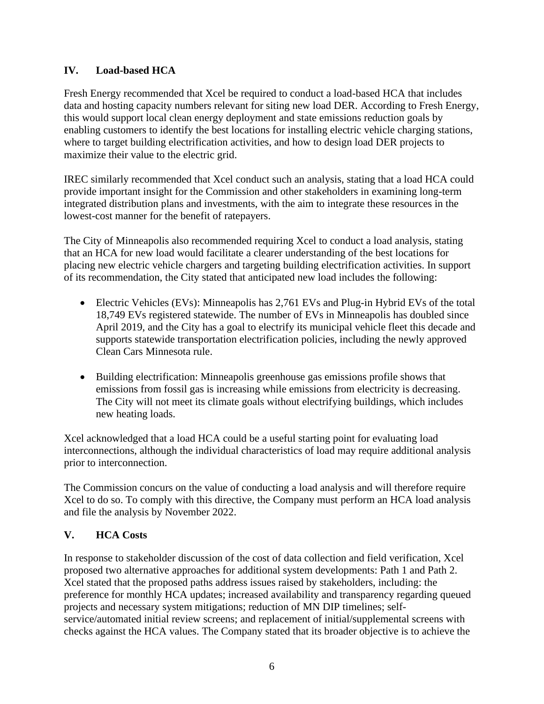### **IV. Load-based HCA**

Fresh Energy recommended that Xcel be required to conduct a load-based HCA that includes data and hosting capacity numbers relevant for siting new load DER. According to Fresh Energy, this would support local clean energy deployment and state emissions reduction goals by enabling customers to identify the best locations for installing electric vehicle charging stations, where to target building electrification activities, and how to design load DER projects to maximize their value to the electric grid.

IREC similarly recommended that Xcel conduct such an analysis, stating that a load HCA could provide important insight for the Commission and other stakeholders in examining long-term integrated distribution plans and investments, with the aim to integrate these resources in the lowest-cost manner for the benefit of ratepayers.

The City of Minneapolis also recommended requiring Xcel to conduct a load analysis, stating that an HCA for new load would facilitate a clearer understanding of the best locations for placing new electric vehicle chargers and targeting building electrification activities. In support of its recommendation, the City stated that anticipated new load includes the following:

- Electric Vehicles (EVs): Minneapolis has 2,761 EVs and Plug-in Hybrid EVs of the total 18,749 EVs registered statewide. The number of EVs in Minneapolis has doubled since April 2019, and the City has a goal to electrify its municipal vehicle fleet this decade and supports statewide transportation electrification policies, including the newly approved Clean Cars Minnesota rule.
- Building electrification: Minneapolis greenhouse gas emissions profile shows that emissions from fossil gas is increasing while emissions from electricity is decreasing. The City will not meet its climate goals without electrifying buildings, which includes new heating loads.

Xcel acknowledged that a load HCA could be a useful starting point for evaluating load interconnections, although the individual characteristics of load may require additional analysis prior to interconnection.

The Commission concurs on the value of conducting a load analysis and will therefore require Xcel to do so. To comply with this directive, the Company must perform an HCA load analysis and file the analysis by November 2022.

# **V. HCA Costs**

In response to stakeholder discussion of the cost of data collection and field verification, Xcel proposed two alternative approaches for additional system developments: Path 1 and Path 2. Xcel stated that the proposed paths address issues raised by stakeholders, including: the preference for monthly HCA updates; increased availability and transparency regarding queued projects and necessary system mitigations; reduction of MN DIP timelines; selfservice/automated initial review screens; and replacement of initial/supplemental screens with checks against the HCA values. The Company stated that its broader objective is to achieve the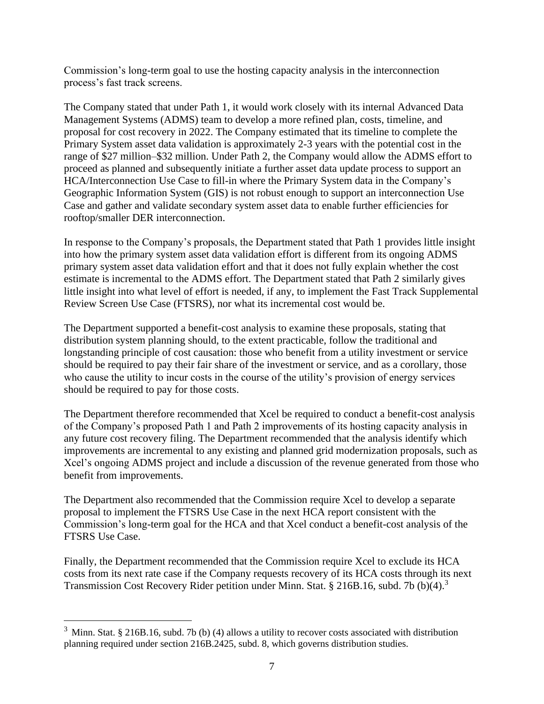Commission's long-term goal to use the hosting capacity analysis in the interconnection process's fast track screens.

The Company stated that under Path 1, it would work closely with its internal Advanced Data Management Systems (ADMS) team to develop a more refined plan, costs, timeline, and proposal for cost recovery in 2022. The Company estimated that its timeline to complete the Primary System asset data validation is approximately 2-3 years with the potential cost in the range of \$27 million–\$32 million. Under Path 2, the Company would allow the ADMS effort to proceed as planned and subsequently initiate a further asset data update process to support an HCA/Interconnection Use Case to fill-in where the Primary System data in the Company's Geographic Information System (GIS) is not robust enough to support an interconnection Use Case and gather and validate secondary system asset data to enable further efficiencies for rooftop/smaller DER interconnection.

In response to the Company's proposals, the Department stated that Path 1 provides little insight into how the primary system asset data validation effort is different from its ongoing ADMS primary system asset data validation effort and that it does not fully explain whether the cost estimate is incremental to the ADMS effort. The Department stated that Path 2 similarly gives little insight into what level of effort is needed, if any, to implement the Fast Track Supplemental Review Screen Use Case (FTSRS), nor what its incremental cost would be.

The Department supported a benefit-cost analysis to examine these proposals, stating that distribution system planning should, to the extent practicable, follow the traditional and longstanding principle of cost causation: those who benefit from a utility investment or service should be required to pay their fair share of the investment or service, and as a corollary, those who cause the utility to incur costs in the course of the utility's provision of energy services should be required to pay for those costs.

The Department therefore recommended that Xcel be required to conduct a benefit-cost analysis of the Company's proposed Path 1 and Path 2 improvements of its hosting capacity analysis in any future cost recovery filing. The Department recommended that the analysis identify which improvements are incremental to any existing and planned grid modernization proposals, such as Xcel's ongoing ADMS project and include a discussion of the revenue generated from those who benefit from improvements.

The Department also recommended that the Commission require Xcel to develop a separate proposal to implement the FTSRS Use Case in the next HCA report consistent with the Commission's long-term goal for the HCA and that Xcel conduct a benefit-cost analysis of the FTSRS Use Case.

Finally, the Department recommended that the Commission require Xcel to exclude its HCA costs from its next rate case if the Company requests recovery of its HCA costs through its next Transmission Cost Recovery Rider petition under Minn. Stat. § 216B.16, subd. 7b (b)(4).<sup>3</sup>

 $3 \text{ Minn}$ . Stat. § 216B.16, subd. 7b (b) (4) allows a utility to recover costs associated with distribution planning required under section 216B.2425, subd. 8, which governs distribution studies.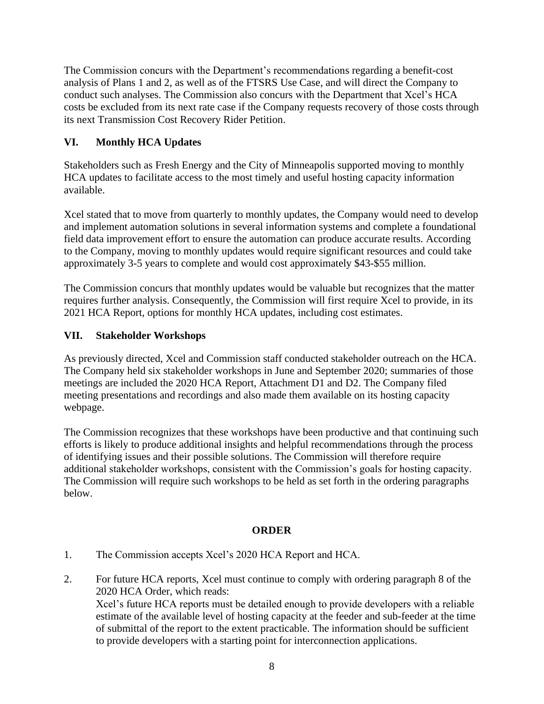The Commission concurs with the Department's recommendations regarding a benefit-cost analysis of Plans 1 and 2, as well as of the FTSRS Use Case, and will direct the Company to conduct such analyses. The Commission also concurs with the Department that Xcel's HCA costs be excluded from its next rate case if the Company requests recovery of those costs through its next Transmission Cost Recovery Rider Petition.

# **VI. Monthly HCA Updates**

Stakeholders such as Fresh Energy and the City of Minneapolis supported moving to monthly HCA updates to facilitate access to the most timely and useful hosting capacity information available.

Xcel stated that to move from quarterly to monthly updates, the Company would need to develop and implement automation solutions in several information systems and complete a foundational field data improvement effort to ensure the automation can produce accurate results. According to the Company, moving to monthly updates would require significant resources and could take approximately 3-5 years to complete and would cost approximately \$43-\$55 million.

The Commission concurs that monthly updates would be valuable but recognizes that the matter requires further analysis. Consequently, the Commission will first require Xcel to provide, in its 2021 HCA Report, options for monthly HCA updates, including cost estimates.

# **VII. Stakeholder Workshops**

As previously directed, Xcel and Commission staff conducted stakeholder outreach on the HCA. The Company held six stakeholder workshops in June and September 2020; summaries of those meetings are included the 2020 HCA Report, Attachment D1 and D2. The Company filed meeting presentations and recordings and also made them available on its hosting capacity webpage.

The Commission recognizes that these workshops have been productive and that continuing such efforts is likely to produce additional insights and helpful recommendations through the process of identifying issues and their possible solutions. The Commission will therefore require additional stakeholder workshops, consistent with the Commission's goals for hosting capacity. The Commission will require such workshops to be held as set forth in the ordering paragraphs below.

# **ORDER**

- 1. The Commission accepts Xcel's 2020 HCA Report and HCA.
- 2. For future HCA reports, Xcel must continue to comply with ordering paragraph 8 of the 2020 HCA Order, which reads:

Xcel's future HCA reports must be detailed enough to provide developers with a reliable estimate of the available level of hosting capacity at the feeder and sub-feeder at the time of submittal of the report to the extent practicable. The information should be sufficient to provide developers with a starting point for interconnection applications.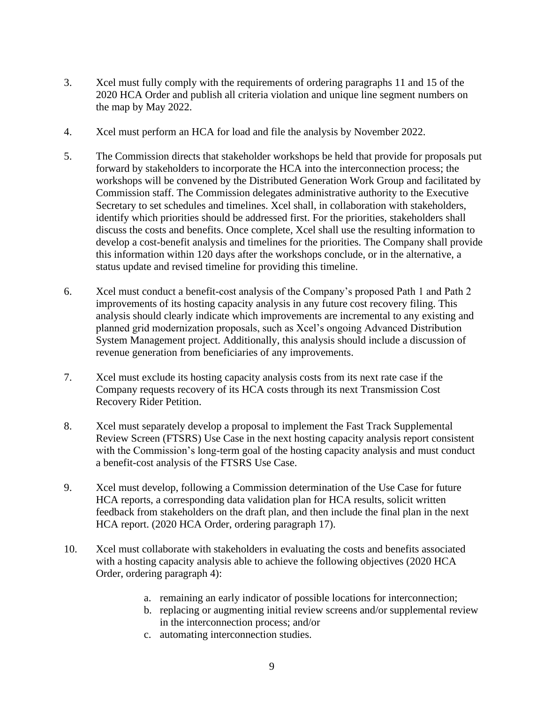- 3. Xcel must fully comply with the requirements of ordering paragraphs 11 and 15 of the 2020 HCA Order and publish all criteria violation and unique line segment numbers on the map by May 2022.
- 4. Xcel must perform an HCA for load and file the analysis by November 2022.
- 5. The Commission directs that stakeholder workshops be held that provide for proposals put forward by stakeholders to incorporate the HCA into the interconnection process; the workshops will be convened by the Distributed Generation Work Group and facilitated by Commission staff. The Commission delegates administrative authority to the Executive Secretary to set schedules and timelines. Xcel shall, in collaboration with stakeholders, identify which priorities should be addressed first. For the priorities, stakeholders shall discuss the costs and benefits. Once complete, Xcel shall use the resulting information to develop a cost-benefit analysis and timelines for the priorities. The Company shall provide this information within 120 days after the workshops conclude, or in the alternative, a status update and revised timeline for providing this timeline.
- 6. Xcel must conduct a benefit-cost analysis of the Company's proposed Path 1 and Path 2 improvements of its hosting capacity analysis in any future cost recovery filing. This analysis should clearly indicate which improvements are incremental to any existing and planned grid modernization proposals, such as Xcel's ongoing Advanced Distribution System Management project. Additionally, this analysis should include a discussion of revenue generation from beneficiaries of any improvements.
- 7. Xcel must exclude its hosting capacity analysis costs from its next rate case if the Company requests recovery of its HCA costs through its next Transmission Cost Recovery Rider Petition.
- 8. Xcel must separately develop a proposal to implement the Fast Track Supplemental Review Screen (FTSRS) Use Case in the next hosting capacity analysis report consistent with the Commission's long-term goal of the hosting capacity analysis and must conduct a benefit-cost analysis of the FTSRS Use Case.
- 9. Xcel must develop, following a Commission determination of the Use Case for future HCA reports, a corresponding data validation plan for HCA results, solicit written feedback from stakeholders on the draft plan, and then include the final plan in the next HCA report. (2020 HCA Order, ordering paragraph 17).
- 10. Xcel must collaborate with stakeholders in evaluating the costs and benefits associated with a hosting capacity analysis able to achieve the following objectives (2020 HCA Order, ordering paragraph 4):
	- a. remaining an early indicator of possible locations for interconnection;
	- b. replacing or augmenting initial review screens and/or supplemental review in the interconnection process; and/or
	- c. automating interconnection studies.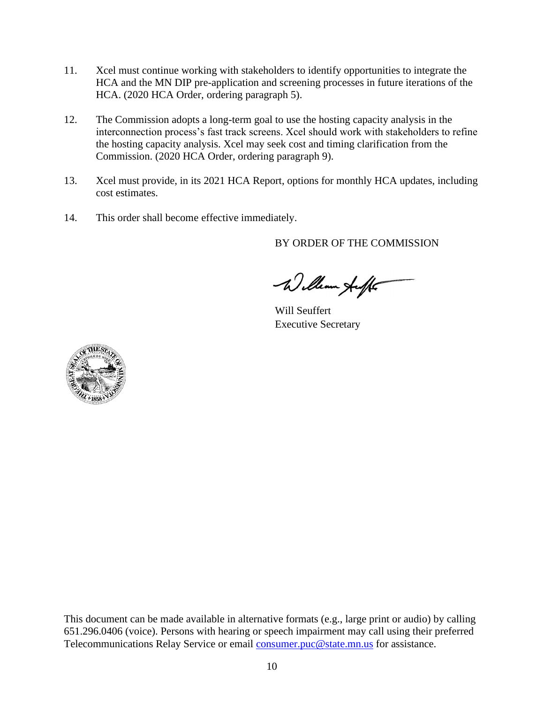- 11. Xcel must continue working with stakeholders to identify opportunities to integrate the HCA and the MN DIP pre-application and screening processes in future iterations of the HCA. (2020 HCA Order, ordering paragraph 5).
- 12. The Commission adopts a long-term goal to use the hosting capacity analysis in the interconnection process's fast track screens. Xcel should work with stakeholders to refine the hosting capacity analysis. Xcel may seek cost and timing clarification from the Commission. (2020 HCA Order, ordering paragraph 9).
- 13. Xcel must provide, in its 2021 HCA Report, options for monthly HCA updates, including cost estimates.
- 14. This order shall become effective immediately.

BY ORDER OF THE COMMISSION

William Auff

Will Seuffert Executive Secretary



This document can be made available in alternative formats (e.g., large print or audio) by calling 651.296.0406 (voice). Persons with hearing or speech impairment may call using their preferred Telecommunications Relay Service or email [consumer.puc@state.mn.us](mailto:consumer.puc@state.mn.us) for assistance.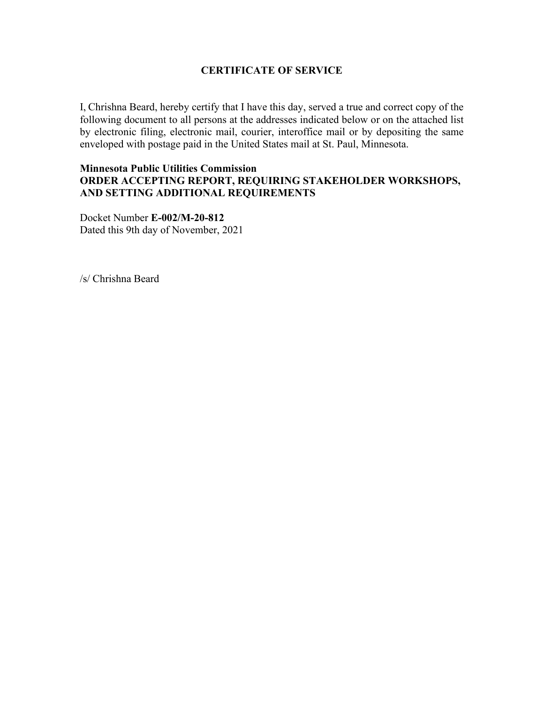#### **CERTIFICATE OF SERVICE**

I, Chrishna Beard, hereby certify that I have this day, served a true and correct copy of the following document to all persons at the addresses indicated below or on the attached list by electronic filing, electronic mail, courier, interoffice mail or by depositing the same enveloped with postage paid in the United States mail at St. Paul, Minnesota.

#### **Minnesota Public Utilities Commission ORDER ACCEPTING REPORT, REQUIRING STAKEHOLDER WORKSHOPS, AND SETTING ADDITIONAL REQUIREMENTS**

Docket Number **E-002/M-20-812** Dated this 9th day of November, 2021

/s/ Chrishna Beard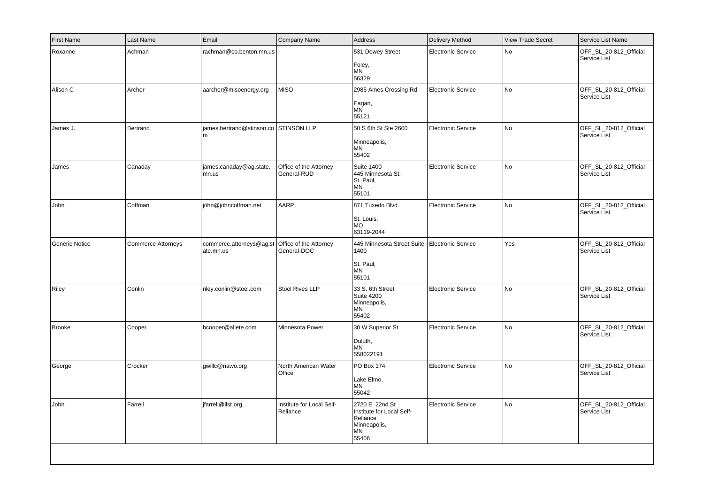| <b>First Name</b> | Last Name                 | Email                                      | Company Name                          | Address                                                                                 | Delivery Method           | <b>View Trade Secret</b> | Service List Name                      |
|-------------------|---------------------------|--------------------------------------------|---------------------------------------|-----------------------------------------------------------------------------------------|---------------------------|--------------------------|----------------------------------------|
| Roxanne           | Achman                    | rachman@co.benton.mn.us                    |                                       | 531 Dewey Street<br>Foley,<br><b>MN</b><br>56329                                        | <b>Electronic Service</b> | No.                      | OFF_SL_20-812_Official<br>Service List |
| Alison C          | Archer                    | aarcher@misoenergy.org                     | <b>MISO</b>                           | 2985 Ames Crossing Rd<br>Eagan,<br><b>MN</b><br>55121                                   | <b>Electronic Service</b> | No                       | OFF_SL_20-812_Official<br>Service List |
| James J.          | Bertrand                  | james.bertrand@stinson.co STINSON LLP<br>m |                                       | 50 S 6th St Ste 2600<br>Minneapolis,<br>ΜN<br>55402                                     | <b>Electronic Service</b> | No                       | OFF_SL_20-812_Official<br>Service List |
| James             | Canaday                   | james.canaday@ag.state.<br>mn.us           | Office of the Attorney<br>General-RUD | <b>Suite 1400</b><br>445 Minnesota St.<br>St. Paul,<br><b>MN</b><br>55101               | <b>Electronic Service</b> | l No                     | OFF_SL_20-812_Official<br>Service List |
| John              | Coffman                   | john@johncoffman.net                       | AARP                                  | 871 Tuxedo Blvd.<br>St, Louis,<br><b>MO</b><br>63119-2044                               | <b>Electronic Service</b> | No                       | OFF_SL_20-812_Official<br>Service List |
| Generic Notice    | <b>Commerce Attorneys</b> | commerce.attorneys@ag.st<br>ate.mn.us      | Office of the Attorney<br>General-DOC | 445 Minnesota Street Suite<br>1400<br>St. Paul,<br>MN<br>55101                          | Electronic Service        | Yes                      | OFF_SL_20-812_Official<br>Service List |
| Riley             | Conlin                    | riley.conlin@stoel.com                     | <b>Stoel Rives LLP</b>                | 33 S. 6th Street<br><b>Suite 4200</b><br>Minneapolis,<br>MN<br>55402                    | <b>Electronic Service</b> | l No                     | OFF_SL_20-812_Official<br>Service List |
| Brooke            | Cooper                    | bcooper@allete.com                         | Minnesota Power                       | 30 W Superior St<br>Duluth,<br><b>MN</b><br>558022191                                   | <b>Electronic Service</b> | No                       | OFF_SL_20-812_Official<br>Service List |
| George            | Crocker                   | gwillc@nawo.org                            | North American Water<br>Office        | PO Box 174<br>Lake Elmo,<br>ΜN<br>55042                                                 | <b>Electronic Service</b> | No                       | OFF_SL_20-812_Official<br>Service List |
| John              | Farrell                   | jfarrell@ilsr.org                          | Institute for Local Self-<br>Reliance | 2720 E. 22nd St<br>Institute for Local Self-<br>Reliance<br>Minneapolis,<br>MN<br>55406 | <b>Electronic Service</b> | No                       | OFF_SL_20-812_Official<br>Service List |
|                   |                           |                                            |                                       |                                                                                         |                           |                          |                                        |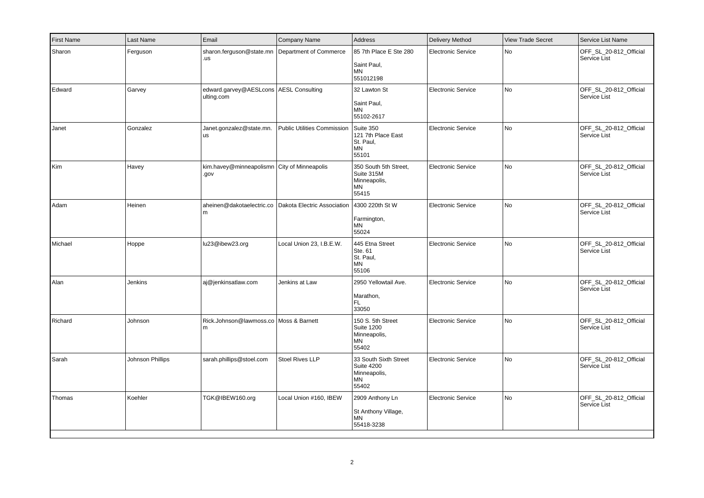| <b>First Name</b> | Last Name        | Email                                                  | Company Name                                  | Address                                                                          | <b>Delivery Method</b>    | <b>View Trade Secret</b> | Service List Name                      |
|-------------------|------------------|--------------------------------------------------------|-----------------------------------------------|----------------------------------------------------------------------------------|---------------------------|--------------------------|----------------------------------------|
| Sharon            | Ferguson         | sharon.ferguson@state.mn<br>.us                        | Department of Commerce                        | 85 7th Place E Ste 280<br>Saint Paul,<br><b>MN</b><br>551012198                  | <b>Electronic Service</b> | No                       | OFF_SL_20-812_Official<br>Service List |
| Edward            | Garvey           | edward.garvey@AESLcons   AESL Consulting<br>ulting.com |                                               | 32 Lawton St<br>Saint Paul,<br><b>MN</b><br>55102-2617                           | <b>Electronic Service</b> | No                       | OFF_SL_20-812_Official<br>Service List |
| Janet             | Gonzalez         | Janet.gonzalez@state.mn.<br><b>us</b>                  | Public Utilities Commission Suite 350         | 121 7th Place East<br>St. Paul,<br><b>MN</b><br>55101                            | <b>Electronic Service</b> | No                       | OFF_SL_20-812_Official<br>Service List |
| Kim               | Havey            | kim.havey@minneapolismn City of Minneapolis<br>vop.    |                                               | 350 South 5th Street,<br>Suite 315M<br>Minneapolis,<br>MN<br>55415               | <b>Electronic Service</b> | <b>No</b>                | OFF_SL_20-812_Official<br>Service List |
| Adam              | Heinen           | aheinen@dakotaelectric.co<br>m                         | Dakota Electric Association   4300 220th St W | Farmington,<br><b>MN</b><br>55024                                                | <b>Electronic Service</b> | No                       | OFF_SL_20-812_Official<br>Service List |
| Michael           | Hoppe            | lu23@ibew23.org                                        | Local Union 23, I.B.E.W.                      | 445 Etna Street<br>Ste. 61<br>St. Paul,<br>MN<br>55106                           | Electronic Service        | <b>No</b>                | OFF SL 20-812 Official<br>Service List |
| Alan              | Jenkins          | aj@jenkinsatlaw.com                                    | Jenkins at Law                                | 2950 Yellowtail Ave.<br>Marathon,<br>FL.<br>33050                                | <b>Electronic Service</b> | No                       | OFF_SL_20-812_Official<br>Service List |
| Richard           | Johnson          | Rick.Johnson@lawmoss.co Moss & Barnett<br>m            |                                               | 150 S. 5th Street<br><b>Suite 1200</b><br>Minneapolis,<br>MN<br>55402            | Electronic Service        | No                       | OFF_SL_20-812_Official<br>Service List |
| Sarah             | Johnson Phillips | sarah.phillips@stoel.com                               | Stoel Rives LLP                               | 33 South Sixth Street<br><b>Suite 4200</b><br>Minneapolis,<br><b>MN</b><br>55402 | <b>Electronic Service</b> | <b>No</b>                | OFF_SL_20-812_Official<br>Service List |
| Thomas            | Koehler          | TGK@IBEW160.org                                        | Local Union #160, IBEW                        | 2909 Anthony Ln<br>St Anthony Village,<br><b>MN</b><br>55418-3238                | Electronic Service        | No                       | OFF_SL_20-812_Official<br>Service List |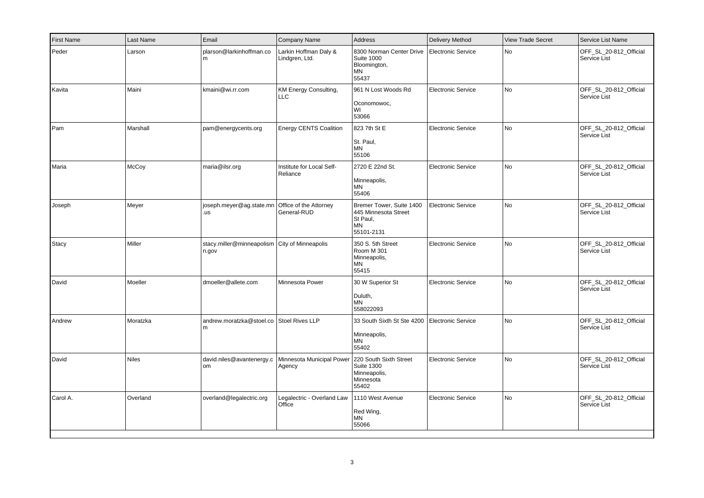| <b>First Name</b> | Last Name    | Email                                                  | Company Name                                               | Address                                                                                 | <b>Delivery Method</b>    | <b>View Trade Secret</b> | Service List Name                      |
|-------------------|--------------|--------------------------------------------------------|------------------------------------------------------------|-----------------------------------------------------------------------------------------|---------------------------|--------------------------|----------------------------------------|
| Peder             | Larson       | plarson@larkinhoffman.co<br>m                          | Larkin Hoffman Daly &<br>Lindgren, Ltd.                    | 8300 Norman Center Drive<br><b>Suite 1000</b><br>Bloomington,<br><b>MN</b><br>55437     | Electronic Service        | No                       | OFF_SL_20-812_Official<br>Service List |
| Kavita            | Maini        | kmaini@wi.rr.com                                       | KM Energy Consulting,<br>LLC                               | 961 N Lost Woods Rd<br>Oconomowoc,<br>WI<br>53066                                       | <b>Electronic Service</b> | No                       | OFF_SL_20-812_Official<br>Service List |
| Pam               | Marshall     | pam@energycents.org                                    | Energy CENTS Coalition                                     | 823 7th St E<br>St. Paul,<br><b>MN</b><br>55106                                         | <b>Electronic Service</b> | No                       | OFF_SL_20-812_Official<br>Service List |
| Maria             | McCoy        | maria@ilsr.org                                         | Institute for Local Self-<br>Reliance                      | 2720 E 22nd St.<br>Minneapolis,<br>MN<br>55406                                          | <b>Electronic Service</b> | <b>No</b>                | OFF_SL_20-812_Official<br>Service List |
| Joseph            | Meyer        | joseph.meyer@ag.state.mn<br>.us                        | Office of the Attorney<br>General-RUD                      | Bremer Tower, Suite 1400<br>445 Minnesota Street<br>St Paul,<br><b>MN</b><br>55101-2131 | <b>Electronic Service</b> | <b>No</b>                | OFF_SL_20-812_Official<br>Service List |
| Stacy             | Miller       | stacy.miller@minneapolism City of Minneapolis<br>n.gov |                                                            | 350 S. 5th Street<br>Room M 301<br>Minneapolis,<br>MN<br>55415                          | <b>Electronic Service</b> | <b>No</b>                | OFF SL 20-812 Official<br>Service List |
| David             | Moeller      | dmoeller@allete.com                                    | Minnesota Power                                            | 30 W Superior St<br>Duluth,<br><b>MN</b><br>558022093                                   | <b>Electronic Service</b> | No                       | OFF_SL_20-812_Official<br>Service List |
| Andrew            | Moratzka     | andrew.moratzka@stoel.co Stoel Rives LLP<br>m          |                                                            | 33 South Sixth St Ste 4200<br>Minneapolis,<br><b>MN</b><br>55402                        | Electronic Service        | No                       | OFF_SL_20-812_Official<br>Service List |
| David             | <b>Niles</b> | david.niles@avantenergy.c<br>om                        | Minnesota Municipal Power 220 South Sixth Street<br>Agency | <b>Suite 1300</b><br>Minneapolis,<br>Minnesota<br>55402                                 | <b>Electronic Service</b> | No                       | OFF_SL_20-812_Official<br>Service List |
| Carol A.          | Overland     | overland@legalectric.org                               | Legalectric - Overland Law<br>Office                       | 1110 West Avenue<br>Red Wing,<br><b>MN</b><br>55066                                     | Electronic Service        | No                       | OFF_SL_20-812_Official<br>Service List |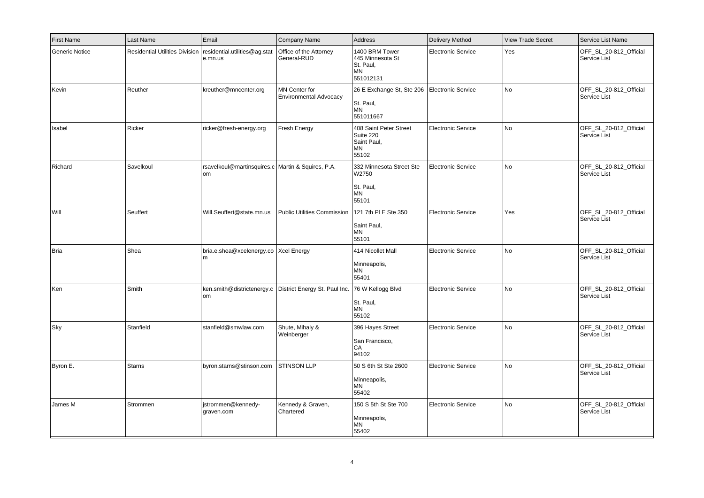| First Name            | Last Name     | Email                                                                     | Company Name                                   | Address                                                              | Delivery Method           | <b>View Trade Secret</b> | Service List Name                      |
|-----------------------|---------------|---------------------------------------------------------------------------|------------------------------------------------|----------------------------------------------------------------------|---------------------------|--------------------------|----------------------------------------|
| <b>Generic Notice</b> |               | Residential Utilities Division   residential.utilities@ag.stat<br>e.mn.us | Office of the Attorney<br>General-RUD          | 1400 BRM Tower<br>445 Minnesota St<br>St. Paul,<br>MN<br>551012131   | <b>Electronic Service</b> | Yes                      | OFF SL 20-812 Official<br>Service List |
| Kevin                 | Reuther       | kreuther@mncenter.org                                                     | MN Center for<br><b>Environmental Advocacy</b> | 26 E Exchange St, Ste 206<br>St. Paul,<br><b>MN</b><br>551011667     | Electronic Service        | l No                     | OFF_SL_20-812_Official<br>Service List |
| Isabel                | Ricker        | ricker@fresh-energy.org                                                   | Fresh Energy                                   | 408 Saint Peter Street<br>Suite 220<br>Saint Paul,<br>MN<br>55102    | <b>Electronic Service</b> | No                       | OFF_SL_20-812_Official<br>Service List |
| Richard               | Savelkoul     | rsavelkoul@martinsquires.c Martin & Squires, P.A.<br>om                   |                                                | 332 Minnesota Street Ste<br>W2750<br>St. Paul,<br><b>MN</b><br>55101 | Electronic Service        | l No                     | OFF_SL_20-812_Official<br>Service List |
| Will                  | Seuffert      | Will.Seuffert@state.mn.us                                                 | <b>Public Utilities Commission</b>             | 121 7th PI E Ste 350<br>Saint Paul,<br>MN<br>55101                   | <b>Electronic Service</b> | Yes                      | OFF_SL_20-812_Official<br>Service List |
| Bria                  | Shea          | bria.e.shea@xcelenergy.co   Xcel Energy<br>m                              |                                                | 414 Nicollet Mall<br>Minneapolis,<br><b>MN</b><br>55401              | <b>Electronic Service</b> | No                       | OFF_SL_20-812_Official<br>Service List |
| Ken                   | Smith         | ken.smith@districtenergy.c<br>om                                          | District Energy St. Paul Inc.                  | 76 W Kellogg Blvd<br>St. Paul,<br><b>MN</b><br>55102                 | <b>Electronic Service</b> | No.                      | OFF_SL_20-812_Official<br>Service List |
| Sky                   | Stanfield     | stanfield@smwlaw.com                                                      | Shute, Mihaly &<br>Weinberger                  | 396 Hayes Street<br>San Francisco,<br>CA<br>94102                    | <b>Electronic Service</b> | No                       | OFF_SL_20-812_Official<br>Service List |
| Byron E.              | <b>Starns</b> | byron.starns@stinson.com                                                  | <b>STINSON LLP</b>                             | 50 S 6th St Ste 2600<br>Minneapolis,<br>MN<br>55402                  | <b>Electronic Service</b> | l No                     | OFF_SL_20-812_Official<br>Service List |
| James M               | Strommen      | jstrommen@kennedy-<br>graven.com                                          | Kennedy & Graven,<br>Chartered                 | 150 S 5th St Ste 700<br>Minneapolis,<br>MN<br>55402                  | <b>Electronic Service</b> | No                       | OFF_SL_20-812_Official<br>Service List |